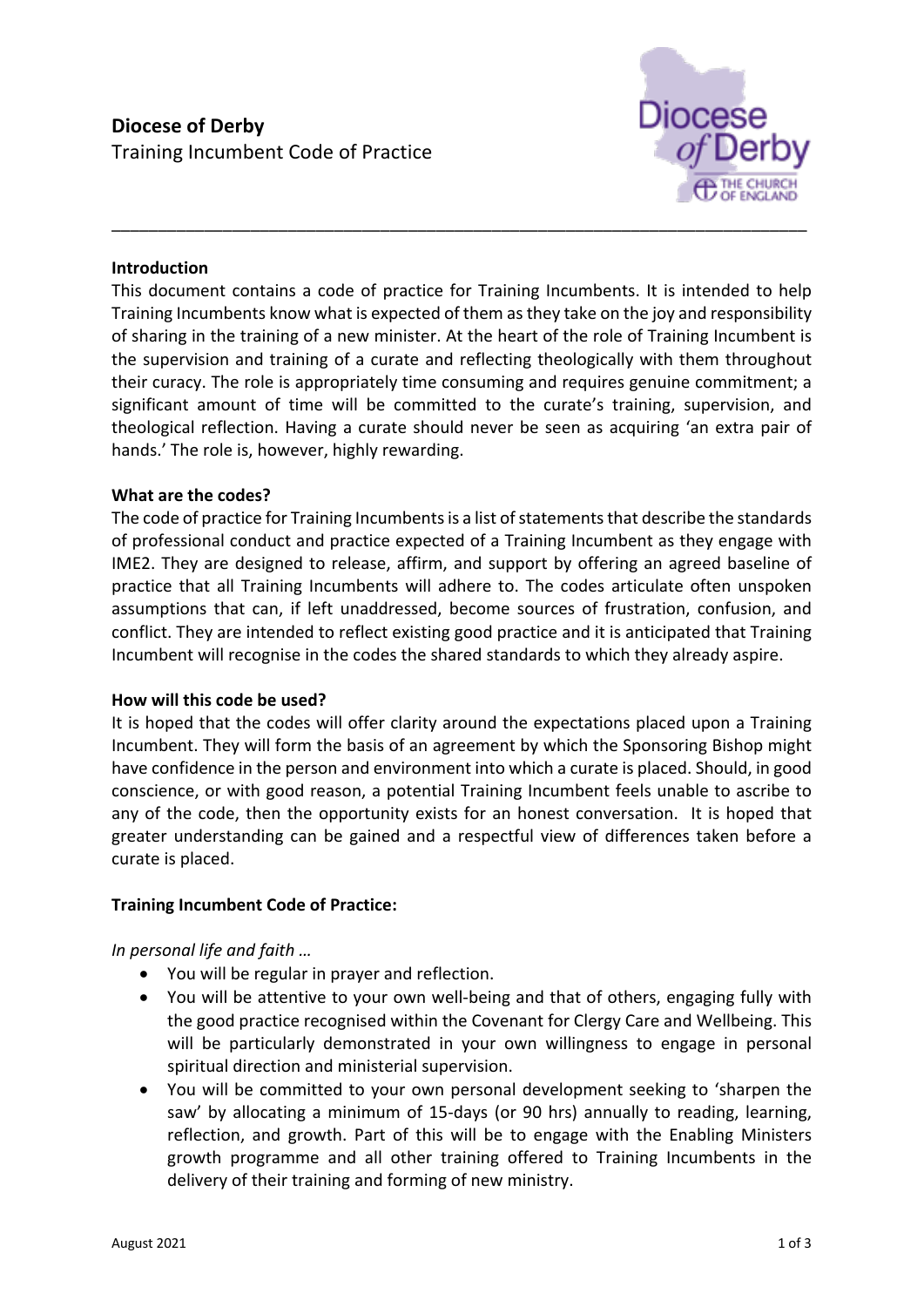

### **Introduction**

This document contains a code of practice for Training Incumbents. It is intended to help Training Incumbents know what is expected of them as they take on the joy and responsibility of sharing in the training of a new minister. At the heart of the role of Training Incumbent is the supervision and training of a curate and reflecting theologically with them throughout their curacy. The role is appropriately time consuming and requires genuine commitment; a significant amount of time will be committed to the curate's training, supervision, and theological reflection. Having a curate should never be seen as acquiring 'an extra pair of hands.' The role is, however, highly rewarding.

\_\_\_\_\_\_\_\_\_\_\_\_\_\_\_\_\_\_\_\_\_\_\_\_\_\_\_\_\_\_\_\_\_\_\_\_\_\_\_\_\_\_\_\_\_\_\_\_\_\_\_\_\_\_\_\_\_\_\_\_\_\_\_\_\_\_\_\_\_\_\_\_\_\_\_

#### **What are the codes?**

The code of practice for Training Incumbents is a list of statements that describe the standards of professional conduct and practice expected of a Training Incumbent as they engage with IME2. They are designed to release, affirm, and support by offering an agreed baseline of practice that all Training Incumbents will adhere to. The codes articulate often unspoken assumptions that can, if left unaddressed, become sources of frustration, confusion, and conflict. They are intended to reflect existing good practice and it is anticipated that Training Incumbent will recognise in the codes the shared standards to which they already aspire.

#### **How will this code be used?**

It is hoped that the codes will offer clarity around the expectations placed upon a Training Incumbent. They will form the basis of an agreement by which the Sponsoring Bishop might have confidence in the person and environment into which a curate is placed. Should, in good conscience, or with good reason, a potential Training Incumbent feels unable to ascribe to any of the code, then the opportunity exists for an honest conversation. It is hoped that greater understanding can be gained and a respectful view of differences taken before a curate is placed.

#### **Training Incumbent Code of Practice:**

*In personal life and faith …*

- You will be regular in prayer and reflection.
- You will be attentive to your own well-being and that of others, engaging fully with the good practice recognised within the Covenant for Clergy Care and Wellbeing. This will be particularly demonstrated in your own willingness to engage in personal spiritual direction and ministerial supervision.
- You will be committed to your own personal development seeking to 'sharpen the saw' by allocating a minimum of 15-days (or 90 hrs) annually to reading, learning, reflection, and growth. Part of this will be to engage with the Enabling Ministers growth programme and all other training offered to Training Incumbents in the delivery of their training and forming of new ministry.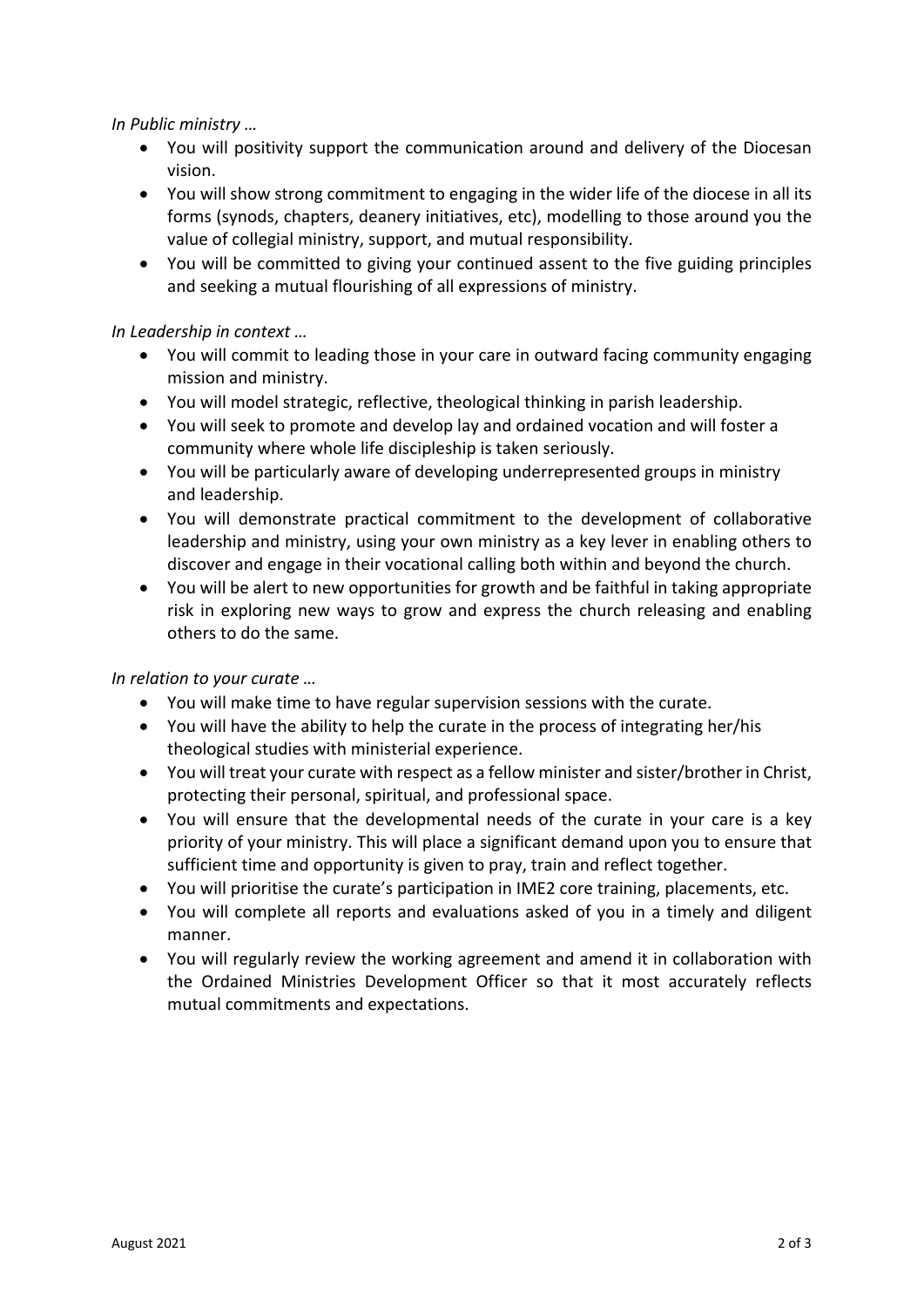*In Public ministry …*

- You will positivity support the communication around and delivery of the Diocesan vision.
- You will show strong commitment to engaging in the wider life of the diocese in all its forms (synods, chapters, deanery initiatives, etc), modelling to those around you the value of collegial ministry, support, and mutual responsibility.
- You will be committed to giving your continued assent to the five guiding principles and seeking a mutual flourishing of all expressions of ministry.

# *In Leadership in context …*

- You will commit to leading those in your care in outward facing community engaging mission and ministry.
- You will model strategic, reflective, theological thinking in parish leadership.
- You will seek to promote and develop lay and ordained vocation and will foster a community where whole life discipleship is taken seriously.
- You will be particularly aware of developing underrepresented groups in ministry and leadership.
- You will demonstrate practical commitment to the development of collaborative leadership and ministry, using your own ministry as a key lever in enabling others to discover and engage in their vocational calling both within and beyond the church.
- You will be alert to new opportunities for growth and be faithful in taking appropriate risk in exploring new ways to grow and express the church releasing and enabling others to do the same.

# *In relation to your curate …*

- You will make time to have regular supervision sessions with the curate.
- You will have the ability to help the curate in the process of integrating her/his theological studies with ministerial experience.
- You will treat your curate with respect as a fellow minister and sister/brother in Christ, protecting their personal, spiritual, and professional space.
- You will ensure that the developmental needs of the curate in your care is a key priority of your ministry. This will place a significant demand upon you to ensure that sufficient time and opportunity is given to pray, train and reflect together.
- You will prioritise the curate's participation in IME2 core training, placements, etc.
- You will complete all reports and evaluations asked of you in a timely and diligent manner.
- You will regularly review the working agreement and amend it in collaboration with the Ordained Ministries Development Officer so that it most accurately reflects mutual commitments and expectations.